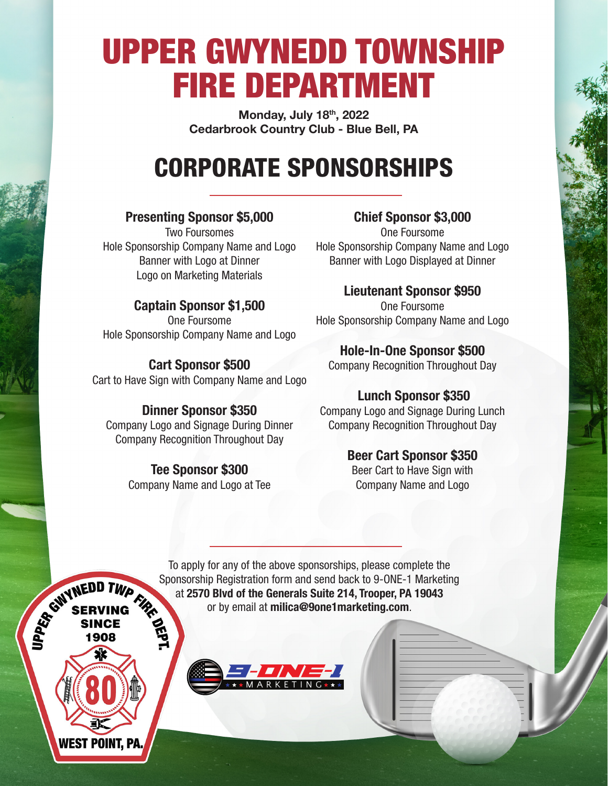# UPPER GWYNEDD TOWNSHIP FIRE DEPARTMENT

**Monday, July 18th, 2022 Cedarbrook Country Club - Blue Bell, PA** 

## CORPORATE SPONSORSHIPS

#### **Presenting Sponsor \$5,000**

Two Foursomes Hole Sponsorship Company Name and Logo Banner with Logo at Dinner Logo on Marketing Materials

#### **Captain Sponsor \$1,500**

One Foursome Hole Sponsorship Company Name and Logo

#### **Cart Sponsor \$500**

Cart to Have Sign with Company Name and Logo

#### **Dinner Sponsor \$350**

Company Logo and Signage During Dinner Company Recognition Throughout Day

> **Tee Sponsor \$300** Company Name and Logo at Tee

#### **Chief Sponsor \$3,000**

One Foursome Hole Sponsorship Company Name and Logo Banner with Logo Displayed at Dinner

#### **Lieutenant Sponsor \$950**

One Foursome Hole Sponsorship Company Name and Logo

#### **Hole-In-One Sponsor \$500**

Company Recognition Throughout Day

#### **Lunch Sponsor \$350**

Company Logo and Signage During Lunch Company Recognition Throughout Day

#### **Beer Cart Sponsor \$350**

Beer Cart to Have Sign with Company Name and Logo

To apply for any of the above sponsorships, please complete the Sponsorship Registration form and send back to 9-ONE-1 Marketing<br>Sponsorship Registration form and send back to 9-ONE-1 Marketing<br>SERVING at 2570 Blvd of the Generals Suite 214, Trooper, PA 19043<br>SINCE<br>1908 at **2570 Blvd of the Generals Suite 214, Trooper, PA 19043** or by email at **milica@9one1marketing.com**.

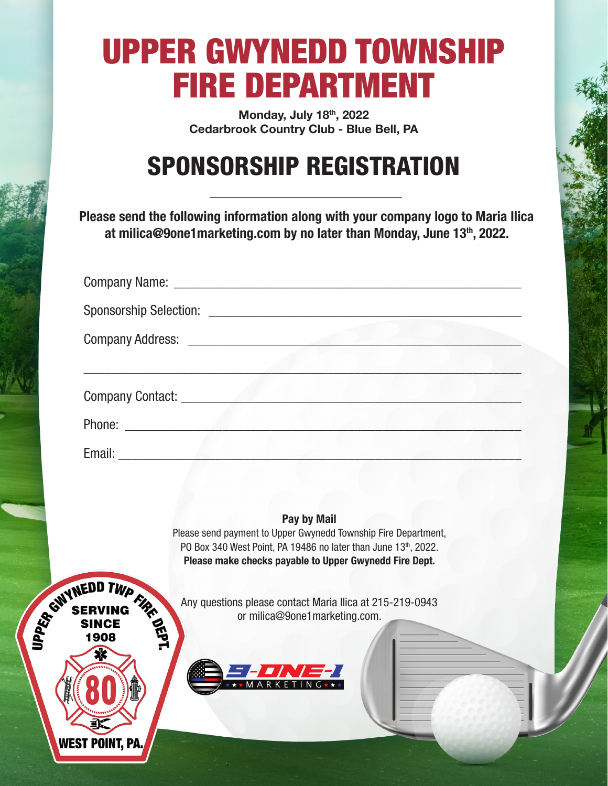# UPPER GWYNEDD TOWNSHIP FIRE DEPARTMENT

**Monday, July 18th, 2022 Cedarbrook Country Club - Blue Bell, PA** 

### SPONSORSHIP REGISTRATION

**Please send the following information along with your company logo to Maria Ilica at milica@9one1marketing.com by no later than Monday, June 13th, 2022.**

| Company Address: Entry American Section 1986 |  |
|----------------------------------------------|--|
| Company Contact: New York Company Contact:   |  |
|                                              |  |
| Email: <b>Email:</b>                         |  |

#### **Pay by Mail**

Please send payment to Upper Gwynedd Township Fire Department, PO Box 340 West Point, PA 19486 no later than June 13th, 2022. **Please make checks payable to Upper Gwynedd Fire Dept.** 

Any questions please contact Maria Ilica at 215-219-0943 or milica@9one1marketing.com.



SERVING TWP THE STREET SINCE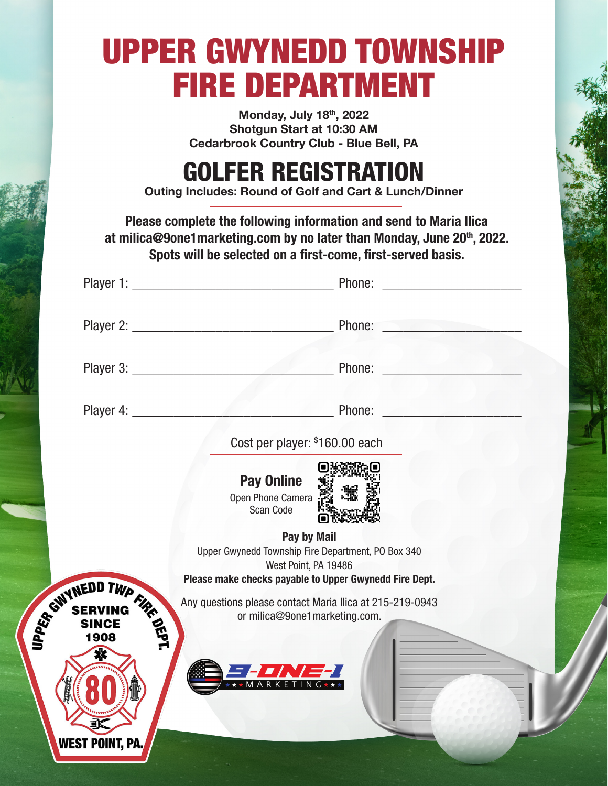# UPPER GWYNEDD TOWNSHIP FIRE DEPARTMENT

**Monday, July 18th, 2022 Shotgun Start at 10:30 AM Cedarbrook Country Club - Blue Bell, PA** 

### GOLFER REGISTRATION

**Outing Includes: Round of Golf and Cart & Lunch/Dinner**

**Please complete the following information and send to Maria Ilica**  at milica@9one1marketing.com by no later than Monday, June 20<sup>th</sup>, 2022. **Spots will be selected on a first-come, first-served basis.** 

|                                          | Phone: New York Street, New York Street, New York Street, New York Street, New York Street, New York Street, New York Street, New York Street, New York Street, New York Street, New York Street, New York Street, New York St                                         |
|------------------------------------------|------------------------------------------------------------------------------------------------------------------------------------------------------------------------------------------------------------------------------------------------------------------------|
|                                          |                                                                                                                                                                                                                                                                        |
|                                          | Phone:<br>an a                                                                                                                                                                                                                                                         |
|                                          | Cost per player: \$160.00 each                                                                                                                                                                                                                                         |
|                                          | <b>Pay Online</b><br>Open Phone Camera<br>Scan Code<br>Pay by Mail<br>Upper Gwynedd Township Fire Department, PO Box 340<br>West Point, PA 19486<br>Please make checks payable to Upper Gwynedd Fire Dept.<br>Any questions please contact Maria Ilica at 215-219-0943 |
| SWYNEDD TWP FIRE<br>✖<br>WEST POINT, PA. | or milica@9one1marketing.com.                                                                                                                                                                                                                                          |